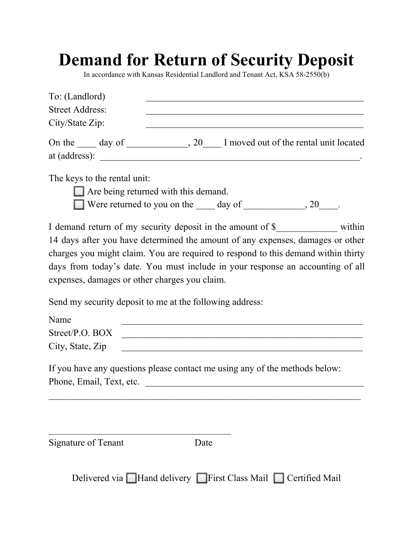## **Demand for Return of Security Deposit**

In accordance with Kansas Residential Landlord and Tenant Act, KSA 58-2550(b)

| To: (Landlord)                                                                                                            |  |  |
|---------------------------------------------------------------------------------------------------------------------------|--|--|
| <b>Street Address:</b>                                                                                                    |  |  |
| City/State Zip:                                                                                                           |  |  |
| On the <u>same day of second section</u> , 20 and 1 moved out of the rental unit located<br>at (address): $\qquad \qquad$ |  |  |
| The keys to the rental unit:                                                                                              |  |  |
| $\Box$ Are being returned with this demand.                                                                               |  |  |
| Were returned to you on the day of $\qquad \qquad 20$ .                                                                   |  |  |
| I demand return of my security deposit in the amount of \$_______________________ within                                  |  |  |
| 14 days after you have determined the amount of any expenses, damages or other                                            |  |  |
| charges you might claim. You are required to respond to this demand within thirty                                         |  |  |
| days from today's date. You must include in your response an accounting of all                                            |  |  |

Send my security deposit to me at the following address:

expenses, damages or other charges you claim.

 $\mathcal{L}_\text{max}$  and  $\mathcal{L}_\text{max}$  and  $\mathcal{L}_\text{max}$  and  $\mathcal{L}_\text{max}$  and  $\mathcal{L}_\text{max}$ 

| Name             |  |
|------------------|--|
| Street/P.O. BOX  |  |
| City, State, Zip |  |

|                          | If you have any questions please contact me using any of the methods below: |
|--------------------------|-----------------------------------------------------------------------------|
| Phone, Email, Text, etc. |                                                                             |

| Signature of Tenant |  |
|---------------------|--|

Date

 $\mathcal{L}_\text{max}$  , and the contract of the contract of the contract of the contract of the contract of the contract of the contract of the contract of the contract of the contract of the contract of the contract of the contr

Delivered via **Hand delivery First Class Mail Certified Mail**